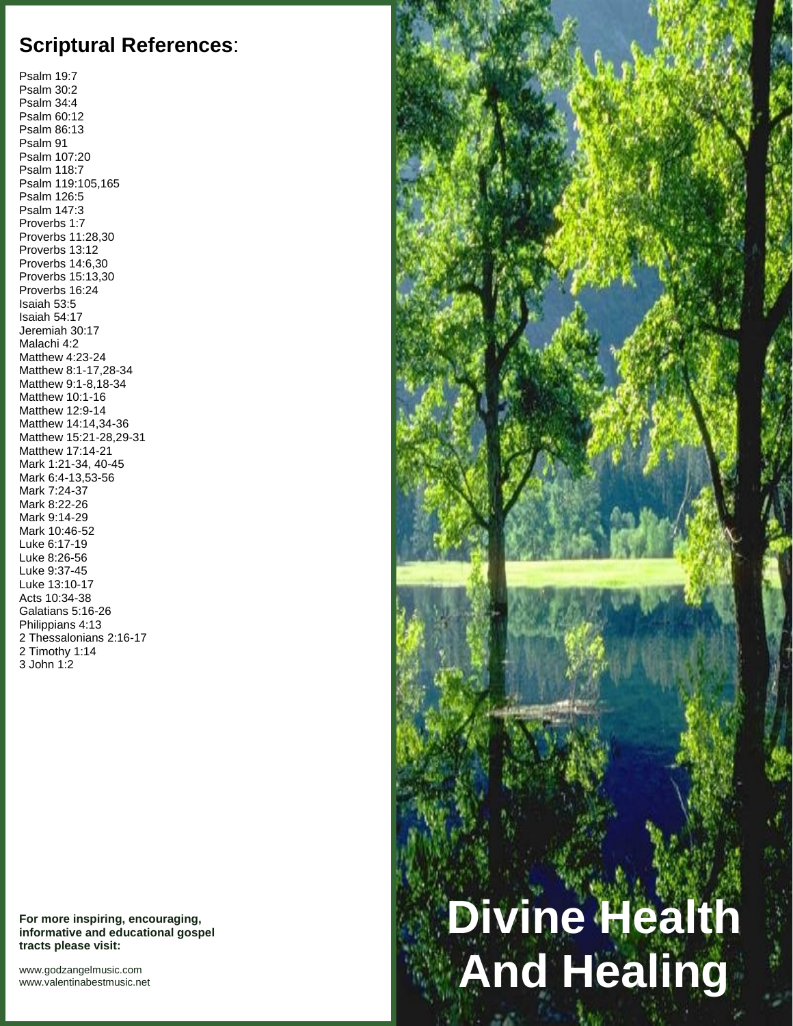## **Scriptural References**:

Psalm 19:7 Psalm 30:2 Psalm 34:4 Psalm 60:12 Psalm 86:13 Psalm 91 Psalm 107:20 Psalm 118:7 Psalm 119:105,165 Psalm 126:5 Psalm 147:3 Proverbs 1:7 Proverbs 11:28,30 Proverbs 13:12 Proverbs 14:6,30 Proverbs 15:13,30 Proverbs 16:24 Isaiah 53:5 Isaiah 54:17 Jeremiah 30:17 Malachi 4:2 Matthew 4:23-24 Matthew 8:1-17,28-34 Matthew 9:1-8,18-34 Matthew 10:1-16 Matthew 12:9-14 Matthew 14:14,34-36 Matthew 15:21-28,29-31 Matthew 17:14-21 Mark 1:21-34, 40-45 Mark 6:4-13,53-56 Mark 7:24-37 Mark 8:22-26 Mark 9:14-29 Mark 10:46-52 Luke 6:17-19 Luke 8:26-56 Luke 9:37-45 Luke 13:10-17 Acts 10:34-38 Galatians 5:16-26 Philippians 4:13 2 Thessalonians 2:16-17 2 Timothy 1:14 3 John 1:2

**For more inspiring, encouraging, informative and educational gospel tracts please visit:**

<www.godzangelmusic.com> <www.valentinabestmusic.net>